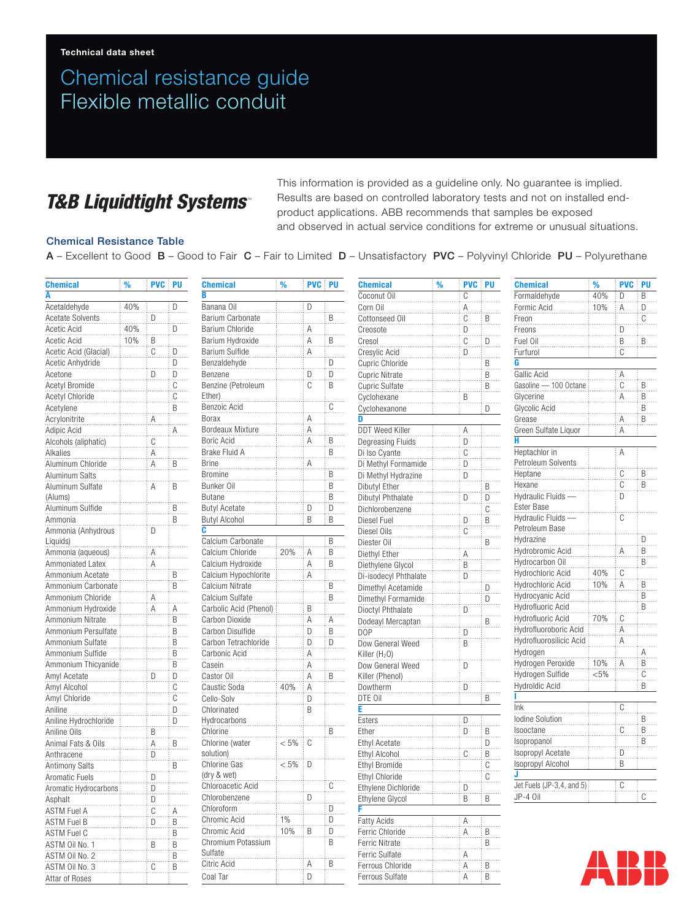# Chemical resistance guide Flexible metallic conduit

### *T&B Liquidtight Systems*

This information is provided as a guideline only. No guarantee is implied. Results are based on controlled laboratory tests and not on installed endproduct applications. ABB recommends that samples be exposed and observed in actual service conditions for extreme or unusual situations.

#### Chemical Resistance Table

A – Excellent to Good B – Good to Fair C – Fair to Limited D – Unsatisfactory PVC – Polyvinyl Chloride PU – Polyurethane

| <b>Chemical</b>              | %   | <b>PVC PU</b>                               |                            | <b>Chemical</b>             | %                                                                                                                                                                                                                                                                                                                                                                               | <b>PVC PU</b>                                   |                | <b>Chemical</b>                      | % | <b>PVC PU</b>                                                                                             |                         | <b>Chemical</b>               | %       | <b>PVC PU</b>              |    |
|------------------------------|-----|---------------------------------------------|----------------------------|-----------------------------|---------------------------------------------------------------------------------------------------------------------------------------------------------------------------------------------------------------------------------------------------------------------------------------------------------------------------------------------------------------------------------|-------------------------------------------------|----------------|--------------------------------------|---|-----------------------------------------------------------------------------------------------------------|-------------------------|-------------------------------|---------|----------------------------|----|
| A                            |     |                                             |                            | B                           |                                                                                                                                                                                                                                                                                                                                                                                 |                                                 |                | Coconut Oil                          |   | C                                                                                                         |                         | Formaldehyde                  | 40%     | D                          | B. |
| Acetaldehyde                 | 40% |                                             | D                          | Banana Oil                  |                                                                                                                                                                                                                                                                                                                                                                                 | D                                               |                | Corn Oil                             |   |                                                                                                           |                         | Formic Acid                   | 10%     | Α                          | D  |
| <b>Acetate Solvents</b>      |     | D                                           |                            | Barium Carbonate            |                                                                                                                                                                                                                                                                                                                                                                                 |                                                 | B              | Cottonseed Oil                       |   | $A \nC \nD$                                                                                               | B                       | Freon                         |         |                            | С  |
| Acetic Acid                  | 40% |                                             | D                          | Barium Chloride             |                                                                                                                                                                                                                                                                                                                                                                                 | A.                                              |                | Creosote                             |   |                                                                                                           |                         | Freons                        |         | D                          |    |
| Acetic Acid                  | 10% | $\overline{B}$                              |                            | Barium Hydroxide            |                                                                                                                                                                                                                                                                                                                                                                                 | Α                                               | B              | Cresol                               |   | $\dddot{C}$                                                                                               | D                       | Fuel Oil                      |         | $\sf B$                    | B  |
| Acetic Acid (Glacial)        |     | $\overline{\mathbb{C}}$                     | D                          | Barium Sulfide              |                                                                                                                                                                                                                                                                                                                                                                                 | $\overline{A}$                                  |                | Cresylic Acid                        |   | $\overline{D}$                                                                                            |                         | Furfurol                      |         | $\mathbb C$                |    |
| Acetic Anhydride             |     |                                             | $\overline{D}$             | Benzaldehyde                |                                                                                                                                                                                                                                                                                                                                                                                 |                                                 | D              | Cupric Chloride                      |   |                                                                                                           | B                       | G                             |         |                            |    |
| Acetone                      |     | D                                           | ö                          | Benzene                     |                                                                                                                                                                                                                                                                                                                                                                                 |                                                 | D              | <b>Cupric Nitrate</b>                |   |                                                                                                           | $\overline{\mathsf{B}}$ | Gallic Acid                   |         | Α                          |    |
| <b>Acetyl Bromide</b>        |     |                                             | C                          | Benzine (Petroleum          |                                                                                                                                                                                                                                                                                                                                                                                 | $\frac{D}{C}$                                   | B              | <b>Cupric Sulfate</b>                |   |                                                                                                           | Β                       | Gasoline - 100 Octane         |         | $\overline{C}$             | B  |
| <b>Acetyl Chloride</b>       |     |                                             | $\mathbb{C}$               | Ether)                      |                                                                                                                                                                                                                                                                                                                                                                                 |                                                 |                | Cyclohexane                          |   | $\overline{B}$                                                                                            |                         | Glycerine                     |         | Α                          | B  |
| Acetylene                    |     |                                             | B                          | Benzoic Acid                |                                                                                                                                                                                                                                                                                                                                                                                 |                                                 | C              | Cyclohexanone                        |   |                                                                                                           | D                       | Glycolic Acid                 |         |                            | B  |
| Acrylonitrite                |     | A                                           |                            | Borax                       |                                                                                                                                                                                                                                                                                                                                                                                 | Α                                               |                | D                                    |   |                                                                                                           |                         | Grease                        |         | Α                          | B  |
| Adipic Acid                  |     |                                             | Α                          | <b>Bordeaux Mixture</b>     |                                                                                                                                                                                                                                                                                                                                                                                 |                                                 |                | <b>DDT Weed Killer</b>               |   | Α                                                                                                         |                         | Green Sulfate Liquor          |         | Α                          |    |
| Alcohols (aliphatic)         |     | $\dddot{\mathbf{C}}$                        |                            | Boric Acid                  |                                                                                                                                                                                                                                                                                                                                                                                 | A<br>A<br>                                      | B              | Degreasing Fluids                    |   | D                                                                                                         |                         |                               |         |                            |    |
| Alkalies                     |     | Α                                           |                            | Brake Fluid A               |                                                                                                                                                                                                                                                                                                                                                                                 |                                                 | B              | Di Iso Cyante                        |   | $\mathbb{C}$                                                                                              |                         | Heptachlor in                 |         | $\overline{A}$             |    |
| Aluminum Chloride            |     | A                                           | <br>B                      | <b>Brine</b>                |                                                                                                                                                                                                                                                                                                                                                                                 | Α                                               |                | Di Methyl Formamide                  |   | $\overline{D}$                                                                                            |                         | Petroleum Solvents            |         |                            |    |
| Aluminum Salts               |     |                                             |                            | <b>Bromine</b>              |                                                                                                                                                                                                                                                                                                                                                                                 |                                                 | B              | Di Methyl Hydrazine                  |   | $\overline{D}$                                                                                            |                         | Heptane                       |         | $\mathbb{C}$               | В  |
| Aluminum Sulfate             |     | Α                                           | B                          | Bunker Oil                  |                                                                                                                                                                                                                                                                                                                                                                                 |                                                 | $\overline{B}$ | Dibutyl Ether                        |   |                                                                                                           | B                       | Hexane                        |         | $\mathbb{C}$               | B  |
| (Alums)                      |     |                                             |                            | <b>Butane</b>               |                                                                                                                                                                                                                                                                                                                                                                                 |                                                 | B              | Dibutyl Phthalate                    |   | D                                                                                                         | D                       | Hydraulic Fluids -            |         | D                          |    |
| Aluminum Sulfide             |     |                                             | B                          | <b>Butyl Acetate</b>        |                                                                                                                                                                                                                                                                                                                                                                                 |                                                 | D              | Dichlorobenzene                      |   |                                                                                                           | C                       | Ester Base                    |         |                            |    |
| Ammonia                      |     |                                             | B                          | <b>Butyl Alcohol</b>        |                                                                                                                                                                                                                                                                                                                                                                                 | $\begin{array}{c} D \\ \vdots \\ D \end{array}$ | .<br>B         | Diesel Fuel                          |   | D                                                                                                         | $\overline{B}$          | Hydraulic Fluids -            |         | $\stackrel{\cdots}{\rm C}$ |    |
| Ammonia (Anhydrous           |     | D                                           |                            | C.                          |                                                                                                                                                                                                                                                                                                                                                                                 |                                                 |                | Diesel Oils                          |   | $\overline{\overline{C}}$                                                                                 |                         | Petroleum Base                |         |                            |    |
| Liquids)                     |     |                                             |                            | Calcium Carbonate           |                                                                                                                                                                                                                                                                                                                                                                                 |                                                 | B              | Diester Oil                          |   |                                                                                                           | <br>В                   | Hydrazine                     |         |                            | D  |
| Ammonia (aqueous)            |     | A                                           |                            | Calcium Chloride            | 20%                                                                                                                                                                                                                                                                                                                                                                             | Α                                               | B              | Diethyl Ether                        |   | Α                                                                                                         |                         | Hydrobromic Acid              |         | A.                         | B  |
| <b>Ammoniated Latex</b>      |     | Α                                           |                            | Calcium Hydroxide           |                                                                                                                                                                                                                                                                                                                                                                                 | A                                               | B              | Diethylene Glycol                    |   |                                                                                                           |                         | Hydrocarbon Oil               |         |                            | B  |
| Ammonium Acetate             |     |                                             | .<br>Β                     | Calcium Hypochlorite        |                                                                                                                                                                                                                                                                                                                                                                                 | $\overline{A}$                                  |                | Di-isodecyl Phthalate                |   | $\frac{B}{D}$                                                                                             |                         | Hydrochloric Acid             | 40%     | $\overline{C}$             |    |
| Ammonium Carbonate           |     |                                             | . <del></del><br>B         | Calcium Nitrate             |                                                                                                                                                                                                                                                                                                                                                                                 |                                                 | B              | Dimethyl Acetamide                   |   |                                                                                                           |                         | Hydrochloric Acid             | 10%     | ÷Α                         | B  |
| Ammonium Chloride            |     |                                             |                            | Calcium Sulfate             |                                                                                                                                                                                                                                                                                                                                                                                 |                                                 | $\dddot{B}$    |                                      |   |                                                                                                           | D.<br>$\overline{D}$    | Hydrocyanic Acid              |         |                            | B  |
| Ammonium Hydroxide           |     | A<br>Α                                      | Α                          | Carbolic Acid (Phenol)      |                                                                                                                                                                                                                                                                                                                                                                                 | $\overline{B}$                                  |                | Dimethyl Formamide                   |   | $\overset{}{\mathsf{D}}$                                                                                  |                         | Hydrofluoric Acid             |         |                            | B  |
| Ammonium Nitrate             |     |                                             | B                          | Carbon Dioxide              |                                                                                                                                                                                                                                                                                                                                                                                 | $\overline{A}$                                  | A              | Dioctyl Phthalate                    |   |                                                                                                           |                         | Hydrofluoric Acid             | 70%     | $\mathbb{C}$               |    |
| Ammonium Persulfate          |     |                                             | B                          | Carbon Disulfide            |                                                                                                                                                                                                                                                                                                                                                                                 | D                                               | B              | Dodeayl Mercaptan<br>D <sub>OP</sub> |   |                                                                                                           | <u>B</u>                | Hydrofluoroboric Acid         |         | Α                          |    |
| Ammonium Sulfate             |     |                                             | B                          | Carbon Tetrachloride        |                                                                                                                                                                                                                                                                                                                                                                                 | $\overline{D}$                                  | D              |                                      |   | $\begin{array}{c} D \\ \vdots \\ D \end{array}$                                                           |                         | Hydrofluorosilicic Acid       |         | Α                          |    |
| Ammonium Sulfide             |     |                                             | $\dddot{B}$                |                             |                                                                                                                                                                                                                                                                                                                                                                                 |                                                 |                | Dow General Weed                     |   |                                                                                                           |                         | Hydrogen                      |         |                            |    |
| Ammonium Thicyanide          |     |                                             | B                          | Carbonic Acid<br>Casein     |                                                                                                                                                                                                                                                                                                                                                                                 | Α                                               |                | Killer $(H2O)$                       |   | D                                                                                                         |                         | Hydrogen Peroxide             | 10%     | A                          | B  |
|                              |     |                                             | D                          |                             |                                                                                                                                                                                                                                                                                                                                                                                 | Α<br>A                                          | Β              | Dow General Weed                     |   |                                                                                                           |                         | Hydrogen Sulfide              | $< 5\%$ |                            | С  |
| Amyl Acetate<br>Amyl Alcohol |     | $\underline{\mathsf{D}}$                    |                            | Castor Oil<br>Caustic Soda  | 40%                                                                                                                                                                                                                                                                                                                                                                             |                                                 |                | Killer (Phenol)                      |   | $\stackrel{\cdots}{\mathsf{D}}$                                                                           |                         | <b>Hydroldic Acid</b>         |         |                            | B  |
|                              |     |                                             | $\mathbb C$<br>$\dddot{C}$ |                             |                                                                                                                                                                                                                                                                                                                                                                                 | Α                                               |                | Dowtherm                             |   |                                                                                                           | B                       |                               |         |                            |    |
| Amyl Chloride                |     |                                             | D                          | Cello-Solv                  |                                                                                                                                                                                                                                                                                                                                                                                 | $\frac{D}{B}$                                   |                | DTE Oil<br>Е                         |   |                                                                                                           |                         | Ink                           |         | C                          |    |
| Aniline                      |     |                                             |                            | Chlorinated<br>Hydrocarbons |                                                                                                                                                                                                                                                                                                                                                                                 |                                                 |                | Esters                               |   |                                                                                                           |                         | <b>lodine Solution</b>        |         |                            | B  |
| Aniline Hydrochloride        |     |                                             | D                          |                             |                                                                                                                                                                                                                                                                                                                                                                                 |                                                 | B              | Ether                                |   | $\begin{array}{c} \underline{\mathsf{D}} \\ \underline{\mathsf{D}} \\ \underline{\mathsf{D}} \end{array}$ | B                       | Isooctane                     |         | $\stackrel{\cdots}{\rm C}$ | B  |
| Aniline Oils                 |     | $\frac{B}{A}$                               |                            | Chlorine                    |                                                                                                                                                                                                                                                                                                                                                                                 |                                                 |                |                                      |   |                                                                                                           |                         | Isopropanol                   |         |                            | B  |
| Animal Fats & Oils           |     |                                             | B                          | Chlorine (water             | $< 5\% \div C$                                                                                                                                                                                                                                                                                                                                                                  |                                                 |                | <b>Ethyl Acetate</b>                 |   | $\dddot{\mathbf{C}}$                                                                                      | D                       | Isopropyl Acetate             |         | D                          |    |
| Anthracene                   |     | $\begin{bmatrix} 0 \\ 0 \\ 0 \end{bmatrix}$ | $\overline{\mathsf{B}}$    | solution)<br>Chlorine Gas   | $< 5\%$ D                                                                                                                                                                                                                                                                                                                                                                       |                                                 |                | <b>Ethyl Alcohol</b>                 |   |                                                                                                           | B                       | Isopropyl Alcohol             |         | $\dddot{\mathsf{B}}$       |    |
| <b>Antimony Salts</b>        |     |                                             |                            | (dry & wet)                 |                                                                                                                                                                                                                                                                                                                                                                                 |                                                 |                | <b>Ethyl Bromide</b>                 |   |                                                                                                           | C                       |                               |         |                            |    |
| Aromatic Fuels               |     | D                                           |                            |                             |                                                                                                                                                                                                                                                                                                                                                                                 |                                                 |                | Ethyl Chloride                       |   |                                                                                                           | C                       | Jet Fuels (JP-3,4, and $5$ ): |         | $\mathbb C$                |    |
| Aromatic Hydrocarbons        |     | ö                                           |                            | Chloroacetic Acid           | $\begin{array}{ c c c c c }\n\hline\n\text{} & \text{} & \text{} \n\hline\n\text{} & \text{} & \text{} \n\hline\n\text{} & \text{} & \text{} \n\hline\n\text{} & \text{} & \text{} \n\hline\n\text{} & \text{} & \text{} \n\hline\n\text{} & \text{} & \text{} \n\hline\n\text{} & \text{} & \text{} \n\hline\n\text{} & \text{} & \text{} \n\hline\n\text{} & \text{} & \text$ | ÷n                                              |                | Ethylene Dichloride                  |   | D                                                                                                         |                         | JP-4 Oil                      |         |                            | C  |
| Asphalt                      |     | $\overline{D}$                              |                            | Chlorobenzene               |                                                                                                                                                                                                                                                                                                                                                                                 |                                                 |                | Ethylene Glycol                      |   | $\overline{B}$                                                                                            | $\overline{B}$          |                               |         |                            |    |
| <b>ASTM Fuel A</b>           |     | C                                           | Α                          | Chloroform                  |                                                                                                                                                                                                                                                                                                                                                                                 |                                                 | D              |                                      |   |                                                                                                           |                         |                               |         |                            |    |
| <b>ASTM Fuel B</b>           |     | D                                           | B                          | Chromic Acid                | $1\%$                                                                                                                                                                                                                                                                                                                                                                           |                                                 | D              | <b>Fatty Acids</b>                   |   | Α                                                                                                         |                         |                               |         |                            |    |
| <b>ASTM Fuel C</b>           |     |                                             | B                          | Chromic Acid                | 10%                                                                                                                                                                                                                                                                                                                                                                             | $\frac{1}{2}$ B                                 | D              | Ferric Chloride                      |   | Α                                                                                                         | B                       |                               |         |                            |    |
| ASTM Oil No. 1               |     | $\overline{B}$                              | $\dddot{B}$                | Chromium Potassium          |                                                                                                                                                                                                                                                                                                                                                                                 |                                                 | В              | Ferric Nitrate                       |   |                                                                                                           | B                       |                               |         |                            |    |
| ASTM Oil No. 2               |     |                                             | Β                          | Sulfate                     |                                                                                                                                                                                                                                                                                                                                                                                 |                                                 |                | Ferric Sulfate                       |   | $\begin{array}{c}\nA \\ A\n\end{array}$                                                                   |                         |                               |         |                            |    |
| ASTM Oil No. 3               |     | С                                           | B                          | Citric Acid                 |                                                                                                                                                                                                                                                                                                                                                                                 | Ą                                               | Β              | Ferrous Chloride                     |   |                                                                                                           | B                       |                               |         |                            |    |
| Attar of Roses               |     |                                             |                            | Coal Tar                    |                                                                                                                                                                                                                                                                                                                                                                                 | D                                               |                | Ferrous Sulfate                      |   | Α                                                                                                         | Β                       |                               |         |                            |    |